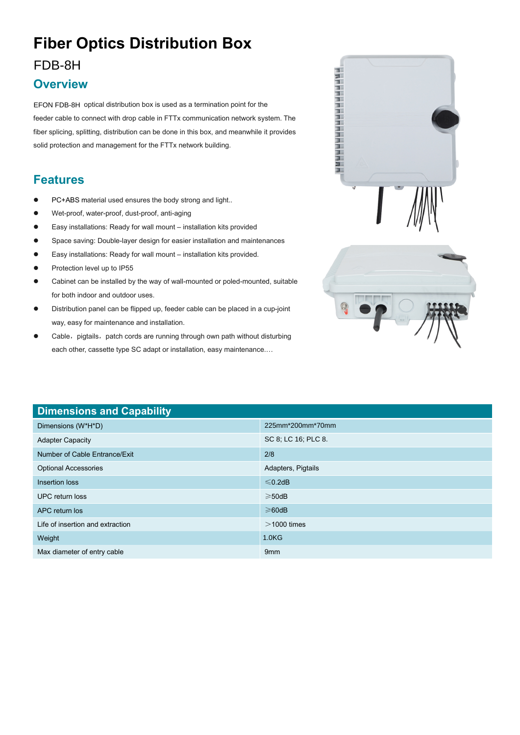# **Fiber Optics Distribution Box**

#### FDB-8H

#### **Overview**

EFON FDB-8H optical distribution box is used as a termination point for the feeder cable to connect with drop cable in FTTx communication network system. The fiber splicing, splitting, distribution can be done in this box, and meanwhile it provides solid protection and management for the FTTx network building.

### **Features**

- PC+ABS material used ensures the body strong and light..
- Wet-proof, water-proof, dust-proof, anti-aging
- Easy installations: Ready for wall mount installation kits provided
- Space saving: Double-layer design for easier installation and maintenances
- Easy installations: Ready for wall mount installation kits provided.
- Protection level up to IP55
- Cabinet can be installed by the way of wall-mounted or poled-mounted, suitable for both indoor and outdoor uses.
- Distribution panel can be flipped up, feeder cable can be placed in a cup-joint way, easy for maintenance and installation.
- Cable, pigtails, patch cords are running through own path without disturbing each other, cassette type SC adapt or installation, easy maintenance.…





| <b>Dimensions and Capability</b> |                     |
|----------------------------------|---------------------|
| Dimensions (W*H*D)               | 225mm*200mm*70mm    |
| <b>Adapter Capacity</b>          | SC 8; LC 16; PLC 8. |
| Number of Cable Entrance/Exit    | 2/8                 |
| <b>Optional Accessories</b>      | Adapters, Pigtails  |
| Insertion loss                   | $\leq 0.2$ dB       |
| UPC return loss                  | $\geqslant$ 50dB    |
| APC return los                   | $\geq 60$ dB        |
| Life of insertion and extraction | $>$ 1000 times      |
| Weight                           | 1.0 <sub>K</sub>    |
| Max diameter of entry cable      | 9 <sub>mm</sub>     |